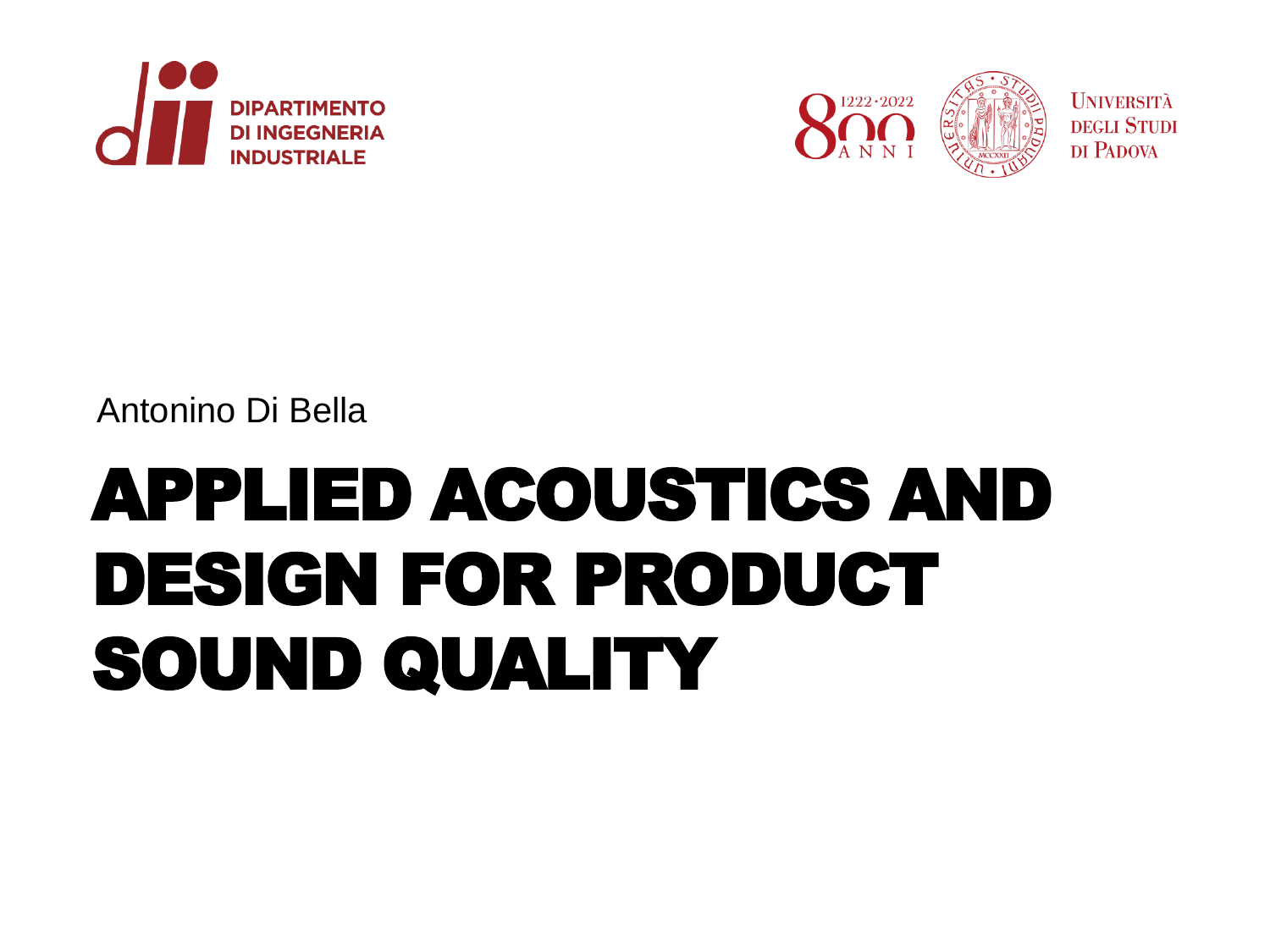



#### Antonino Di Bella

# APPLIED ACOUSTICS AND DESIGN FOR PRODUCT SOUND QUALITY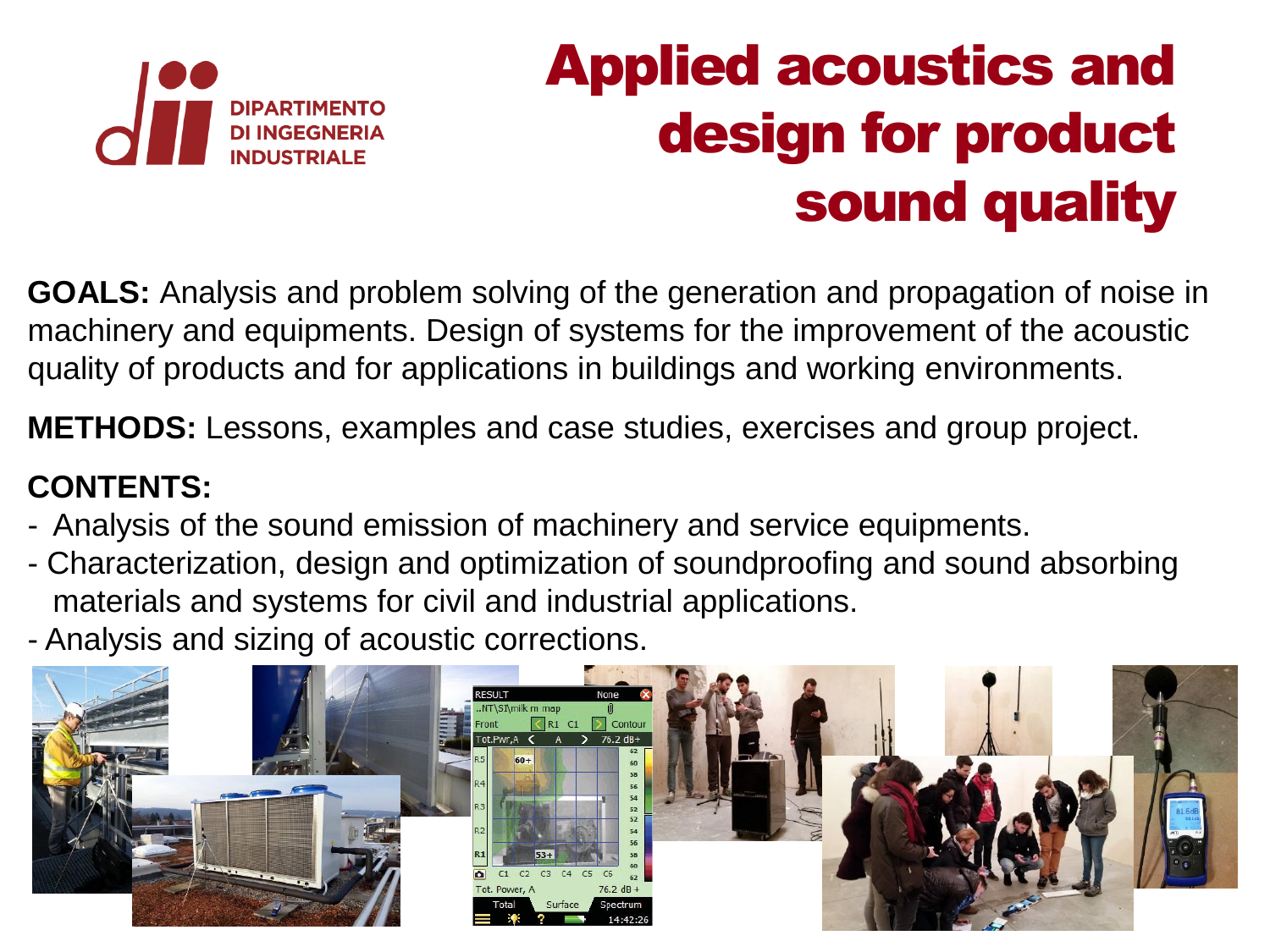

## Applied acoustics and design for product sound quality

**GOALS:** Analysis and problem solving of the generation and propagation of noise in machinery and equipments. Design of systems for the improvement of the acoustic quality of products and for applications in buildings and working environments.

**METHODS:** Lessons, examples and case studies, exercises and group project.

#### **CONTENTS:**

- Analysis of the sound emission of machinery and service equipments.
- Characterization, design and optimization of soundproofing and sound absorbing materials and systems for civil and industrial applications.
- Analysis and sizing of acoustic corrections.

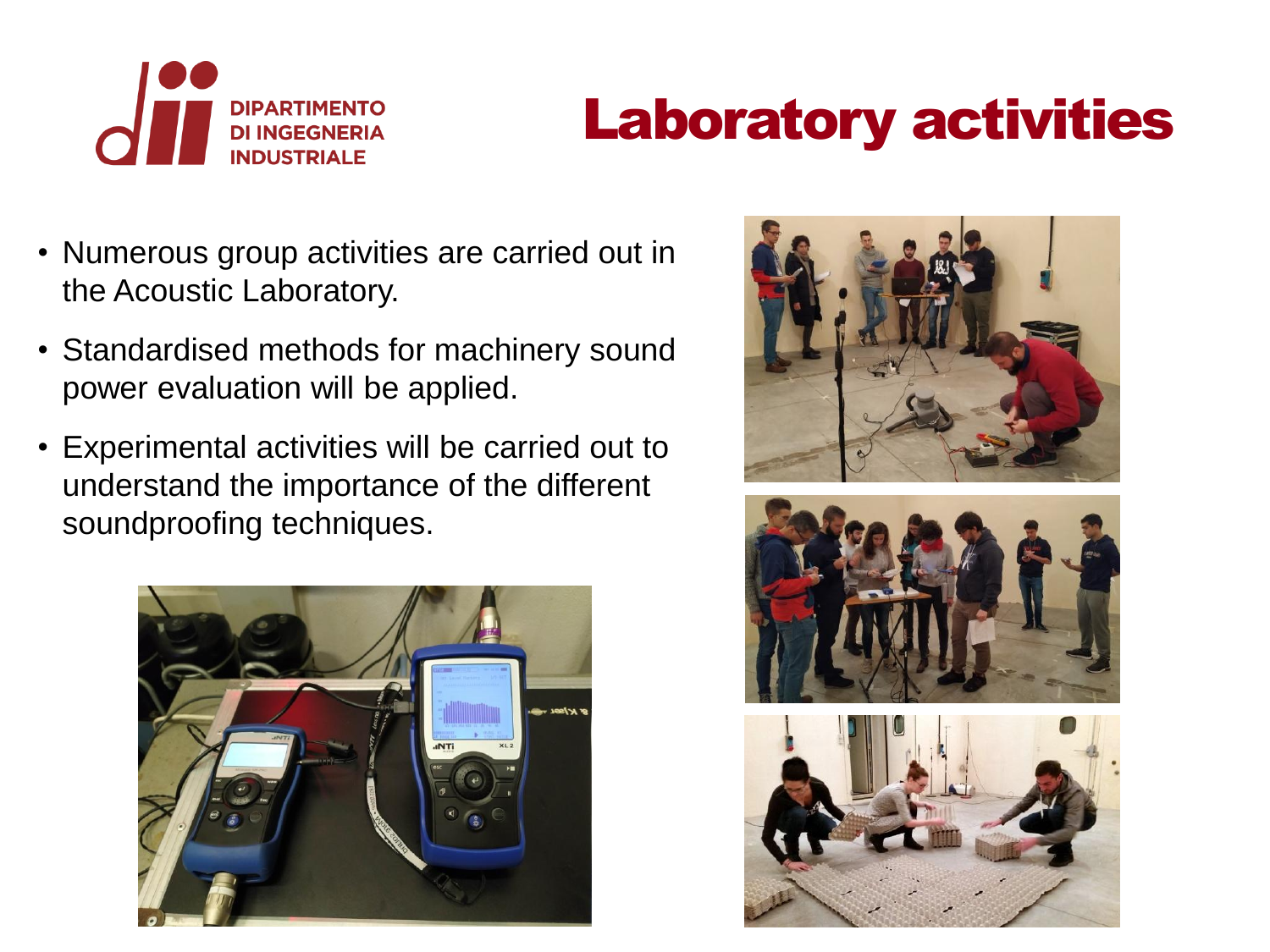

## Laboratory activities

- Numerous group activities are carried out in the Acoustic Laboratory.
- Standardised methods for machinery sound power evaluation will be applied.
- Experimental activities will be carried out to understand the importance of the different soundproofing techniques.